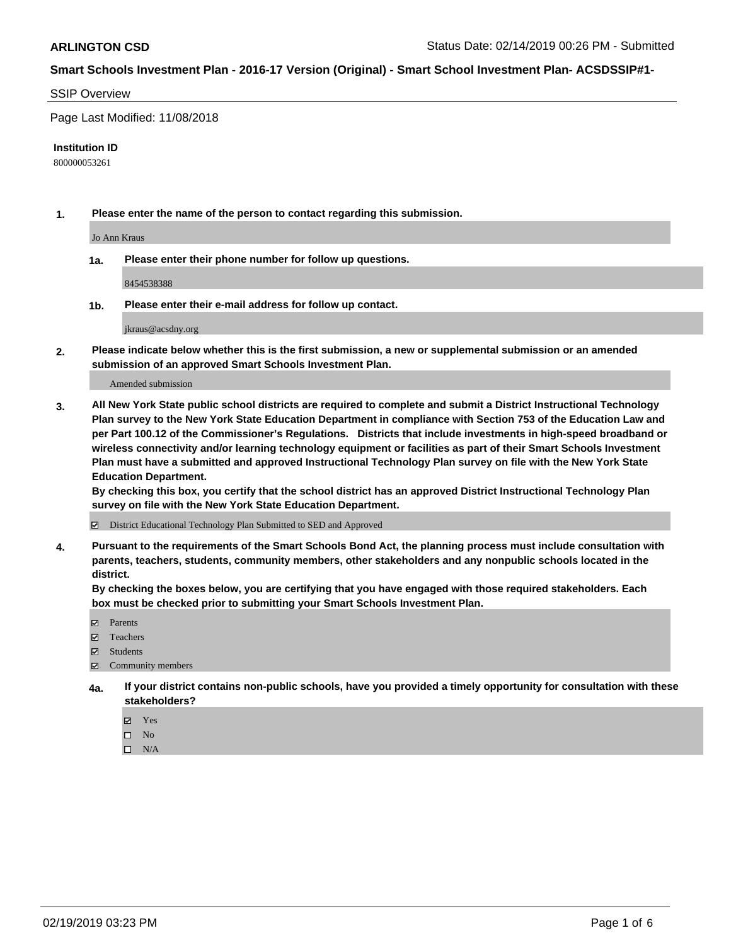#### SSIP Overview

Page Last Modified: 11/08/2018

#### **Institution ID**

800000053261

**1. Please enter the name of the person to contact regarding this submission.**

Jo Ann Kraus

**1a. Please enter their phone number for follow up questions.**

8454538388

**1b. Please enter their e-mail address for follow up contact.**

jkraus@acsdny.org

**2. Please indicate below whether this is the first submission, a new or supplemental submission or an amended submission of an approved Smart Schools Investment Plan.**

Amended submission

**3. All New York State public school districts are required to complete and submit a District Instructional Technology Plan survey to the New York State Education Department in compliance with Section 753 of the Education Law and per Part 100.12 of the Commissioner's Regulations. Districts that include investments in high-speed broadband or wireless connectivity and/or learning technology equipment or facilities as part of their Smart Schools Investment Plan must have a submitted and approved Instructional Technology Plan survey on file with the New York State Education Department.** 

**By checking this box, you certify that the school district has an approved District Instructional Technology Plan survey on file with the New York State Education Department.**

District Educational Technology Plan Submitted to SED and Approved

**4. Pursuant to the requirements of the Smart Schools Bond Act, the planning process must include consultation with parents, teachers, students, community members, other stakeholders and any nonpublic schools located in the district.** 

**By checking the boxes below, you are certifying that you have engaged with those required stakeholders. Each box must be checked prior to submitting your Smart Schools Investment Plan.**

- **□** Parents
- Teachers
- Students
- $\boxtimes$  Community members
- **4a. If your district contains non-public schools, have you provided a timely opportunity for consultation with these stakeholders?**
	- Yes
	- $\qquad \qquad$  No
	- $\square$  N/A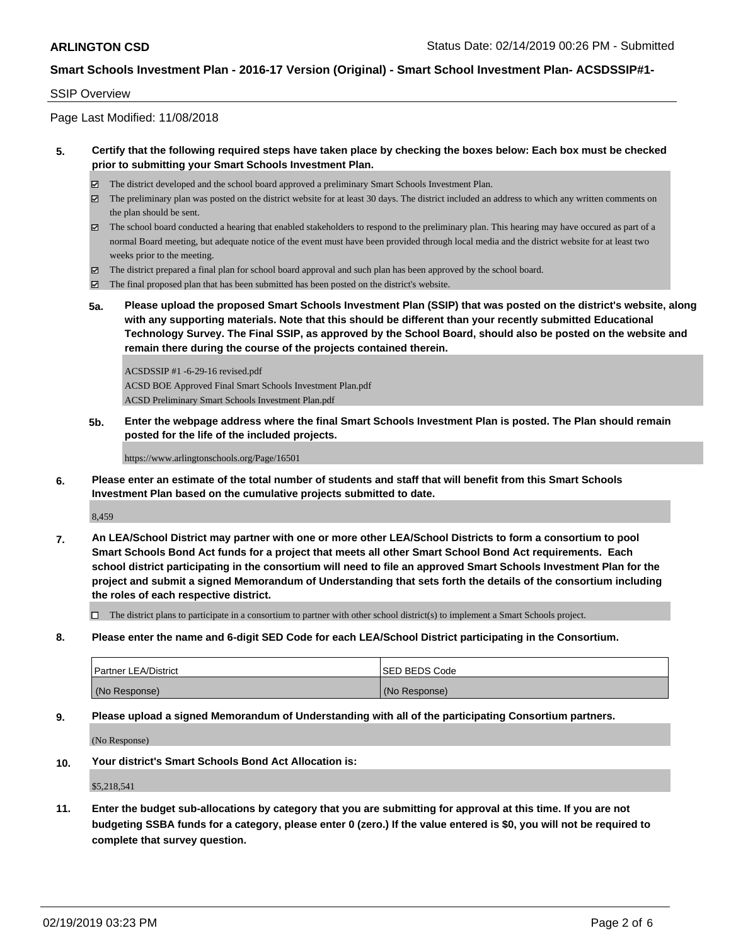#### SSIP Overview

Page Last Modified: 11/08/2018

#### **5. Certify that the following required steps have taken place by checking the boxes below: Each box must be checked prior to submitting your Smart Schools Investment Plan.**

- The district developed and the school board approved a preliminary Smart Schools Investment Plan.
- $\boxtimes$  The preliminary plan was posted on the district website for at least 30 days. The district included an address to which any written comments on the plan should be sent.
- $\boxtimes$  The school board conducted a hearing that enabled stakeholders to respond to the preliminary plan. This hearing may have occured as part of a normal Board meeting, but adequate notice of the event must have been provided through local media and the district website for at least two weeks prior to the meeting.
- The district prepared a final plan for school board approval and such plan has been approved by the school board.
- $\boxtimes$  The final proposed plan that has been submitted has been posted on the district's website.
- **5a. Please upload the proposed Smart Schools Investment Plan (SSIP) that was posted on the district's website, along with any supporting materials. Note that this should be different than your recently submitted Educational Technology Survey. The Final SSIP, as approved by the School Board, should also be posted on the website and remain there during the course of the projects contained therein.**

ACSDSSIP #1 -6-29-16 revised.pdf ACSD BOE Approved Final Smart Schools Investment Plan.pdf ACSD Preliminary Smart Schools Investment Plan.pdf

**5b. Enter the webpage address where the final Smart Schools Investment Plan is posted. The Plan should remain posted for the life of the included projects.**

https://www.arlingtonschools.org/Page/16501

**6. Please enter an estimate of the total number of students and staff that will benefit from this Smart Schools Investment Plan based on the cumulative projects submitted to date.**

8,459

**7. An LEA/School District may partner with one or more other LEA/School Districts to form a consortium to pool Smart Schools Bond Act funds for a project that meets all other Smart School Bond Act requirements. Each school district participating in the consortium will need to file an approved Smart Schools Investment Plan for the project and submit a signed Memorandum of Understanding that sets forth the details of the consortium including the roles of each respective district.**

 $\Box$  The district plans to participate in a consortium to partner with other school district(s) to implement a Smart Schools project.

**8. Please enter the name and 6-digit SED Code for each LEA/School District participating in the Consortium.**

| <b>Partner LEA/District</b> | <b>ISED BEDS Code</b> |
|-----------------------------|-----------------------|
| (No Response)               | (No Response)         |

**9. Please upload a signed Memorandum of Understanding with all of the participating Consortium partners.**

(No Response)

**10. Your district's Smart Schools Bond Act Allocation is:**

\$5,218,541

**11. Enter the budget sub-allocations by category that you are submitting for approval at this time. If you are not budgeting SSBA funds for a category, please enter 0 (zero.) If the value entered is \$0, you will not be required to complete that survey question.**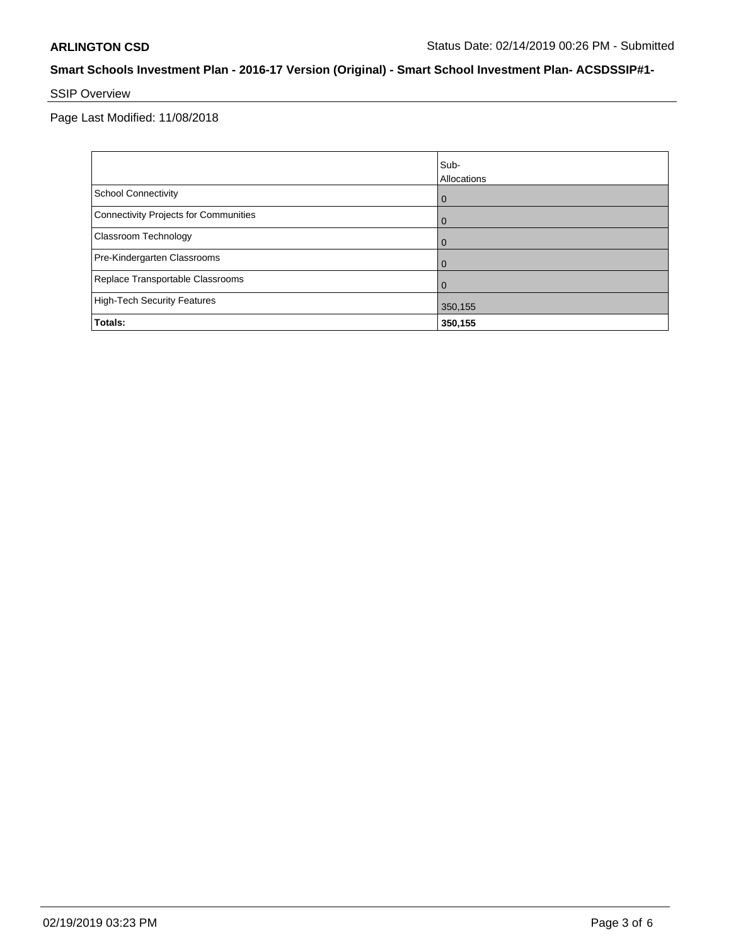# SSIP Overview

Page Last Modified: 11/08/2018

|                                       | Sub-<br>Allocations |
|---------------------------------------|---------------------|
| School Connectivity                   | $\overline{0}$      |
| Connectivity Projects for Communities | $\overline{0}$      |
| <b>Classroom Technology</b>           | $\overline{0}$      |
| Pre-Kindergarten Classrooms           | $\Omega$            |
| Replace Transportable Classrooms      | $\Omega$            |
| High-Tech Security Features           | 350,155             |
| Totals:                               | 350,155             |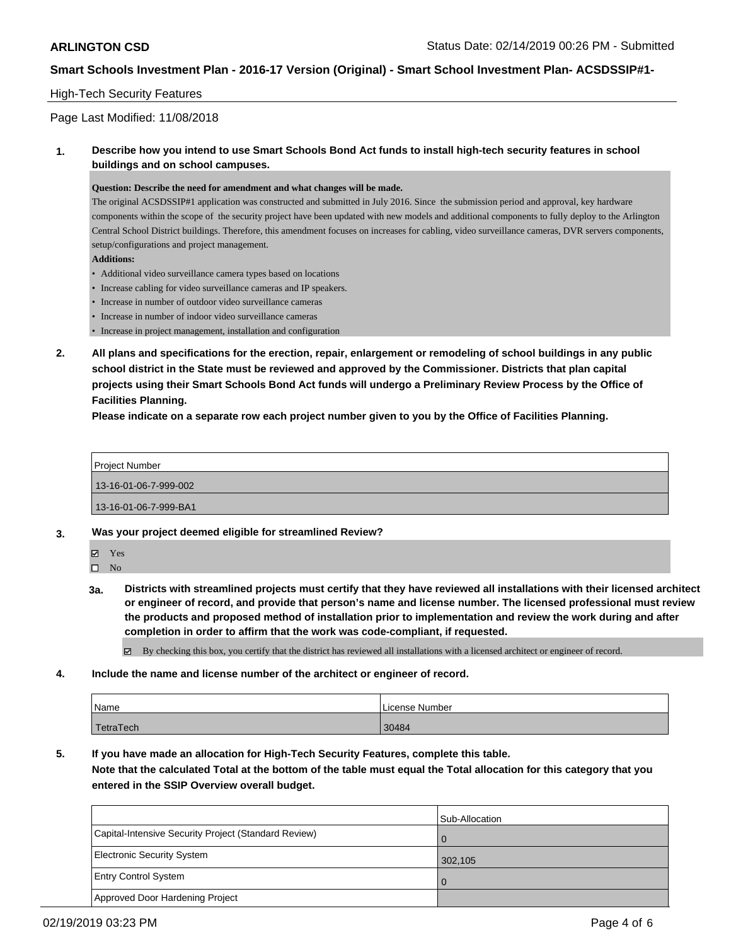#### High-Tech Security Features

### Page Last Modified: 11/08/2018

### **1. Describe how you intend to use Smart Schools Bond Act funds to install high-tech security features in school buildings and on school campuses.**

#### **Question: Describe the need for amendment and what changes will be made.**

The original ACSDSSIP#1 application was constructed and submitted in July 2016. Since the submission period and approval, key hardware components within the scope of the security project have been updated with new models and additional components to fully deploy to the Arlington Central School District buildings. Therefore, this amendment focuses on increases for cabling, video surveillance cameras, DVR servers components, setup/configurations and project management.

**Additions:**

- Additional video surveillance camera types based on locations
- Increase cabling for video surveillance cameras and IP speakers.
- Increase in number of outdoor video surveillance cameras
- Increase in number of indoor video surveillance cameras
- Increase in project management, installation and configuration
- **2. All plans and specifications for the erection, repair, enlargement or remodeling of school buildings in any public school district in the State must be reviewed and approved by the Commissioner. Districts that plan capital projects using their Smart Schools Bond Act funds will undergo a Preliminary Review Process by the Office of Facilities Planning.**

**Please indicate on a separate row each project number given to you by the Office of Facilities Planning.**

Project Number 13-16-01-06-7-999-002 13-16-01-06-7-999-BA1

- **3. Was your project deemed eligible for streamlined Review?**
- 

Yes  $\square$  No

**3a. Districts with streamlined projects must certify that they have reviewed all installations with their licensed architect or engineer of record, and provide that person's name and license number. The licensed professional must review the products and proposed method of installation prior to implementation and review the work during and after completion in order to affirm that the work was code-compliant, if requested.**

By checking this box, you certify that the district has reviewed all installations with a licensed architect or engineer of record.

**4. Include the name and license number of the architect or engineer of record.**

| Name      | License Number |
|-----------|----------------|
| TetraTech | 30484          |

**5. If you have made an allocation for High-Tech Security Features, complete this table.**

**Note that the calculated Total at the bottom of the table must equal the Total allocation for this category that you entered in the SSIP Overview overall budget.**

|                                                      | Sub-Allocation |
|------------------------------------------------------|----------------|
| Capital-Intensive Security Project (Standard Review) |                |
| Electronic Security System                           | 302.105        |
| <b>Entry Control System</b>                          | $\Omega$       |
| Approved Door Hardening Project                      |                |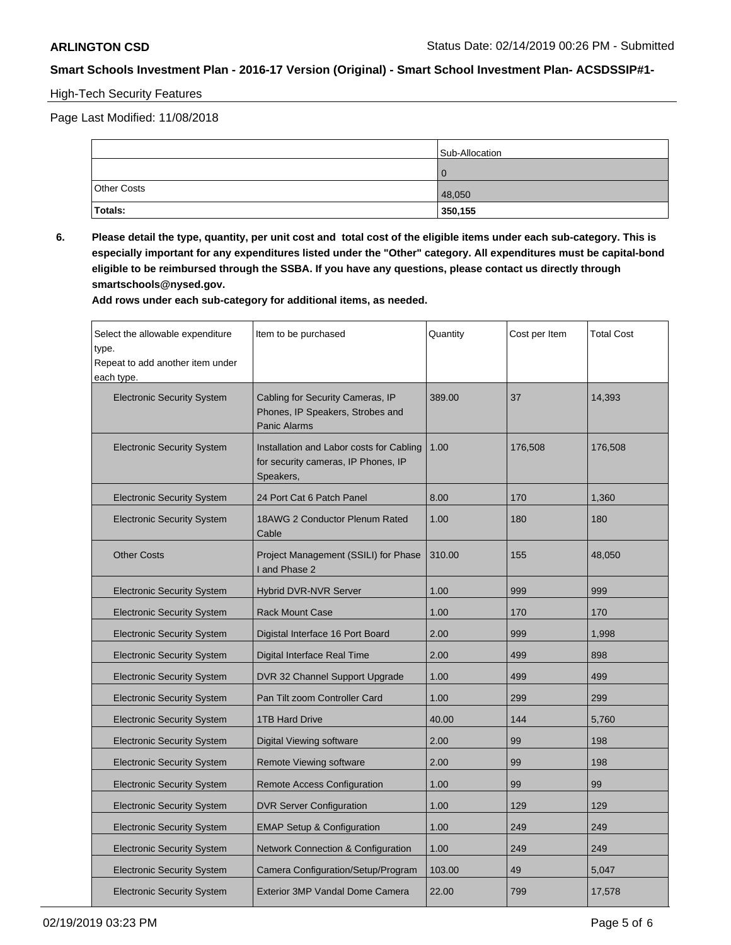# High-Tech Security Features

Page Last Modified: 11/08/2018

|                    | Sub-Allocation |
|--------------------|----------------|
|                    | $\Omega$       |
| <b>Other Costs</b> | 48,050         |
| Totals:            | 350,155        |

**6. Please detail the type, quantity, per unit cost and total cost of the eligible items under each sub-category. This is especially important for any expenditures listed under the "Other" category. All expenditures must be capital-bond eligible to be reimbursed through the SSBA. If you have any questions, please contact us directly through smartschools@nysed.gov.**

**Add rows under each sub-category for additional items, as needed.**

| Select the allowable expenditure<br>type.<br>Repeat to add another item under<br>each type. | Item to be purchased                                                                         | Quantity | Cost per Item | <b>Total Cost</b> |
|---------------------------------------------------------------------------------------------|----------------------------------------------------------------------------------------------|----------|---------------|-------------------|
| <b>Electronic Security System</b>                                                           | Cabling for Security Cameras, IP<br>Phones, IP Speakers, Strobes and<br><b>Panic Alarms</b>  | 389.00   | 37            | 14,393            |
| <b>Electronic Security System</b>                                                           | Installation and Labor costs for Cabling<br>for security cameras, IP Phones, IP<br>Speakers, | 1.00     | 176,508       | 176,508           |
| <b>Electronic Security System</b>                                                           | 24 Port Cat 6 Patch Panel                                                                    | 8.00     | 170           | 1,360             |
| <b>Electronic Security System</b>                                                           | 18AWG 2 Conductor Plenum Rated<br>Cable                                                      | 1.00     | 180           | 180               |
| <b>Other Costs</b>                                                                          | Project Management (SSILI) for Phase<br>I and Phase 2                                        | 310.00   | 155           | 48,050            |
| <b>Electronic Security System</b>                                                           | <b>Hybrid DVR-NVR Server</b>                                                                 | 1.00     | 999           | 999               |
| <b>Electronic Security System</b>                                                           | <b>Rack Mount Case</b>                                                                       | 1.00     | 170           | 170               |
| <b>Electronic Security System</b>                                                           | Digistal Interface 16 Port Board                                                             | 2.00     | 999           | 1,998             |
| <b>Electronic Security System</b>                                                           | Digital Interface Real Time                                                                  | 2.00     | 499           | 898               |
| <b>Electronic Security System</b>                                                           | DVR 32 Channel Support Upgrade                                                               | 1.00     | 499           | 499               |
| <b>Electronic Security System</b>                                                           | Pan Tilt zoom Controller Card                                                                | 1.00     | 299           | 299               |
| <b>Electronic Security System</b>                                                           | <b>1TB Hard Drive</b>                                                                        | 40.00    | 144           | 5,760             |
| <b>Electronic Security System</b>                                                           | Digital Viewing software                                                                     | 2.00     | 99            | 198               |
| <b>Electronic Security System</b>                                                           | Remote Viewing software                                                                      | 2.00     | 99            | 198               |
| <b>Electronic Security System</b>                                                           | <b>Remote Access Configuration</b>                                                           | 1.00     | 99            | 99                |
| <b>Electronic Security System</b>                                                           | <b>DVR Server Configuration</b>                                                              | 1.00     | 129           | 129               |
| <b>Electronic Security System</b>                                                           | <b>EMAP Setup &amp; Configuration</b>                                                        | 1.00     | 249           | 249               |
| <b>Electronic Security System</b>                                                           | Network Connection & Configuration                                                           | 1.00     | 249           | 249               |
| <b>Electronic Security System</b>                                                           | Camera Configuration/Setup/Program                                                           | 103.00   | 49            | 5,047             |
| <b>Electronic Security System</b>                                                           | Exterior 3MP Vandal Dome Camera                                                              | 22.00    | 799           | 17,578            |